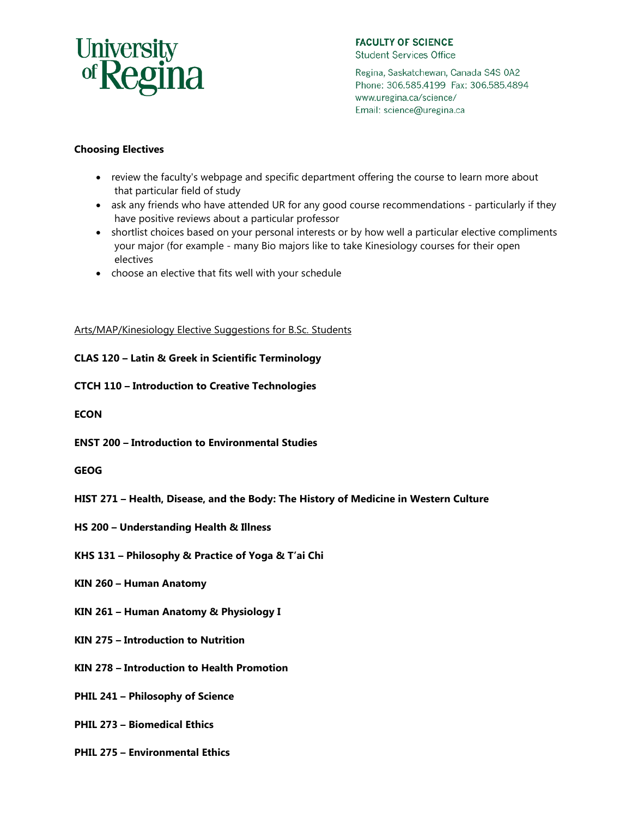## University<br>of **Regina**

**FACULTY OF SCIENCE Student Services Office** 

Email: science@uregina.ca

Regina, Saskatchewan, Canada S4S 0A2 Phone: 306.585.4199 Fax: 306.585.4894 www.uregina.ca/science/

## **Choosing Electives**

- review the faculty's webpage and specific department offering the course to learn more about that particular field of study
- ask any friends who have attended UR for any good course recommendations particularly if they have positive reviews about a particular professor
- shortlist choices based on your personal interests or by how well a particular elective compliments your major (for example - many Bio majors like to take Kinesiology courses for their open electives
- choose an elective that fits well with your schedule

Arts/MAP/Kinesiology Elective Suggestions for B.Sc. Students

**CLAS 120 – Latin & Greek in Scientific Terminology**

**CTCH 110 – Introduction to Creative Technologies**

**ECON**

**ENST 200 – Introduction to Environmental Studies**

**GEOG**

- **HIST 271 Health, Disease, and the Body: The History of Medicine in Western Culture**
- **HS 200 Understanding Health & Illness**

**KHS 131 – Philosophy & Practice of Yoga & T'ai Chi**

**KIN 260 – Human Anatomy**

**KIN 261 – Human Anatomy & Physiology I** 

**KIN 275 – Introduction to Nutrition** 

**KIN 278 – Introduction to Health Promotion**

**PHIL 241 – Philosophy of Science** 

**PHIL 273 – Biomedical Ethics** 

**PHIL 275 – Environmental Ethics**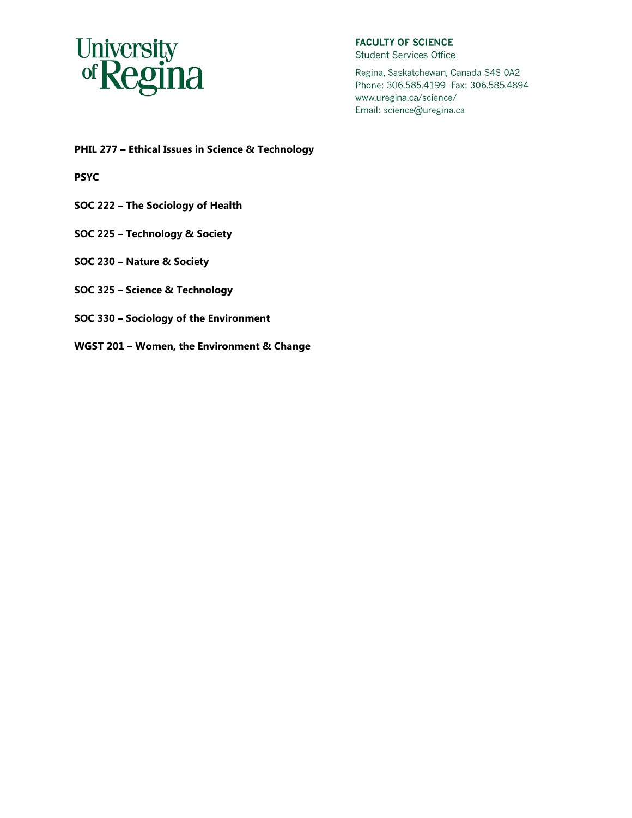

**FACULTY OF SCIENCE Student Services Office** 

Regina, Saskatchewan, Canada S4S 0A2 Phone: 306.585.4199 Fax: 306.585.4894 www.uregina.ca/science/ Email: science@uregina.ca

**PHIL 277 – Ethical Issues in Science & Technology**

**PSYC**

- **SOC 222 – The Sociology of Health**
- **SOC 225 – Technology & Society**
- **SOC 230 – Nature & Society**
- **SOC 325 – Science & Technology**
- **SOC 330 – Sociology of the Environment**
- **WGST 201 – Women, the Environment & Change**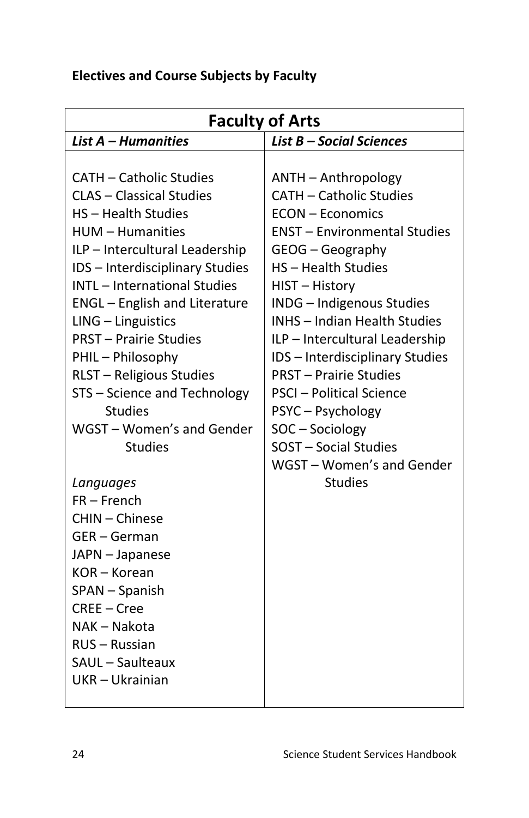## **Electives and Course Subjects by Faculty**

| <b>Faculty of Arts</b>               |                                     |
|--------------------------------------|-------------------------------------|
| List A - Humanities                  | List B - Social Sciences            |
|                                      |                                     |
| <b>CATH - Catholic Studies</b>       | ANTH - Anthropology                 |
| <b>CLAS - Classical Studies</b>      | <b>CATH - Catholic Studies</b>      |
| HS - Health Studies                  | <b>ECON - Economics</b>             |
| <b>HUM - Humanities</b>              | <b>ENST - Environmental Studies</b> |
| ILP - Intercultural Leadership       | GEOG - Geography                    |
| IDS - Interdisciplinary Studies      | HS - Health Studies                 |
| <b>INTL</b> - International Studies  | HIST - History                      |
| <b>ENGL</b> - English and Literature | <b>INDG</b> - Indigenous Studies    |
| LING - Linguistics                   | INHS - Indian Health Studies        |
| <b>PRST - Prairie Studies</b>        | ILP - Intercultural Leadership      |
| PHIL - Philosophy                    | IDS - Interdisciplinary Studies     |
| RLST - Religious Studies             | <b>PRST - Prairie Studies</b>       |
| STS - Science and Technology         | <b>PSCI</b> - Political Science     |
| <b>Studies</b>                       | PSYC-Psychology                     |
| WGST - Women's and Gender            | SOC - Sociology                     |
| <b>Studies</b>                       | SOST - Social Studies               |
|                                      | WGST - Women's and Gender           |
| Languages                            | <b>Studies</b>                      |
| $FR - French$                        |                                     |
| CHIN - Chinese                       |                                     |
| GER-German                           |                                     |
| JAPN - Japanese                      |                                     |
| KOR - Korean                         |                                     |
| SPAN - Spanish                       |                                     |
| CREE - Cree                          |                                     |
| NAK - Nakota                         |                                     |
| RUS - Russian<br>SAUL - Saulteaux    |                                     |
| UKR - Ukrainian                      |                                     |
|                                      |                                     |